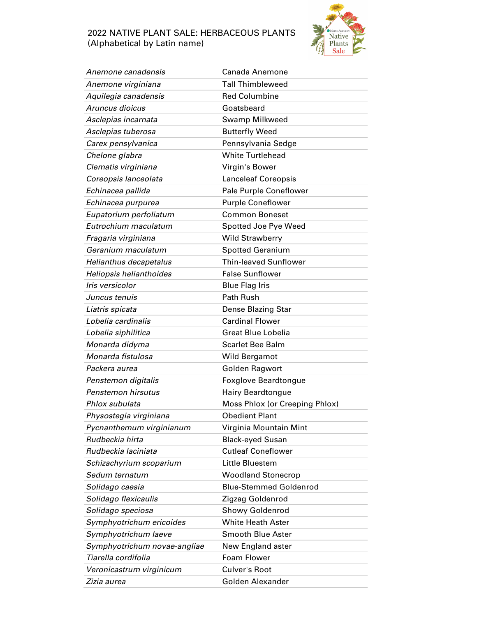## 2022 NATIVE PLANT SALE: HERBACEOUS PLANTS (Alphabetical by Latin name)



| Anemone canadensis           | Canada Anemone                 |
|------------------------------|--------------------------------|
| Anemone virginiana           | <b>Tall Thimbleweed</b>        |
| Aquilegia canadensis         | <b>Red Columbine</b>           |
| Aruncus dioicus              | Goatsbeard                     |
| Asclepias incarnata          | Swamp Milkweed                 |
| Asclepias tuberosa           | <b>Butterfly Weed</b>          |
| Carex pensylvanica           | Pennsylvania Sedge             |
| Chelone glabra               | <b>White Turtlehead</b>        |
| Clematis virginiana          | Virgin's Bower                 |
| Coreopsis lanceolata         | <b>Lanceleaf Coreopsis</b>     |
| Echinacea pallida            | Pale Purple Coneflower         |
| Echinacea purpurea           | <b>Purple Coneflower</b>       |
| Eupatorium perfoliatum       | <b>Common Boneset</b>          |
| Eutrochium maculatum         | Spotted Joe Pye Weed           |
| Fragaria virginiana          | <b>Wild Strawberry</b>         |
| Geranium maculatum           | <b>Spotted Geranium</b>        |
| Helianthus decapetalus       | <b>Thin-leaved Sunflower</b>   |
| Heliopsis helianthoides      | <b>False Sunflower</b>         |
| Iris versicolor              | <b>Blue Flag Iris</b>          |
| Juncus tenuis                | Path Rush                      |
| Liatris spicata              | <b>Dense Blazing Star</b>      |
| Lobelia cardinalis           | <b>Cardinal Flower</b>         |
| Lobelia siphilitica          | <b>Great Blue Lobelia</b>      |
| Monarda didyma               | <b>Scarlet Bee Balm</b>        |
| Monarda fistulosa            | Wild Bergamot                  |
| Packera aurea                | Golden Ragwort                 |
| Penstemon digitalis          | <b>Foxglove Beardtongue</b>    |
| Penstemon hirsutus           | <b>Hairy Beardtongue</b>       |
| Phlox subulata               | Moss Phlox (or Creeping Phlox) |
| Physostegia virginiana       | <b>Obedient Plant</b>          |
| Pycnanthemum virginianum     | Virginia Mountain Mint         |
| Rudbeckia hirta              | <b>Black-eyed Susan</b>        |
| Rudbeckia laciniata          | <b>Cutleaf Coneflower</b>      |
| Schizachyrium scoparium      | Little Bluestem                |
| Sedum ternatum               | <b>Woodland Stonecrop</b>      |
| Solidago caesia              | <b>Blue-Stemmed Goldenrod</b>  |
| Solidago flexicaulis         | Zigzag Goldenrod               |
| Solidago speciosa            | Showy Goldenrod                |
| Symphyotrichum ericoides     | <b>White Heath Aster</b>       |
| Symphyotrichum laeve         | <b>Smooth Blue Aster</b>       |
| Symphyotrichum novae-angliae | New England aster              |
| Tiarella cordifolia          | Foam Flower                    |
| Veronicastrum virginicum     | Culver's Root                  |
| Zizia aurea                  | Golden Alexander               |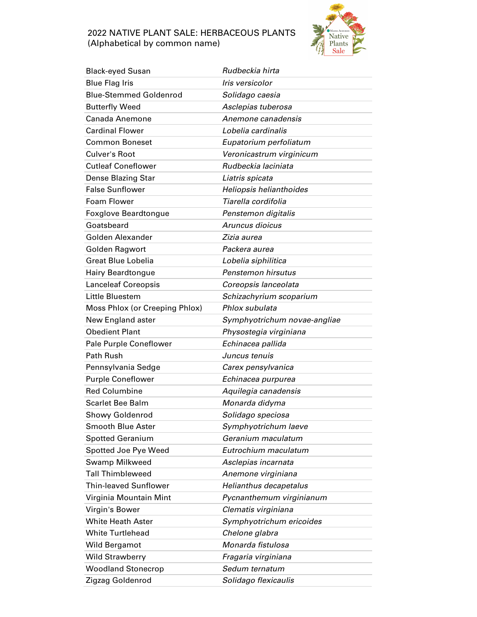## 2022 NATIVE PLANT SALE: HERBACEOUS PLANTS (Alphabetical by common name)



| <b>Black-eyed Susan</b>        | Rudbeckia hirta              |
|--------------------------------|------------------------------|
| <b>Blue Flag Iris</b>          | Iris versicolor              |
| <b>Blue-Stemmed Goldenrod</b>  | Solidago caesia              |
| <b>Butterfly Weed</b>          | Asclepias tuberosa           |
| Canada Anemone                 | Anemone canadensis           |
| <b>Cardinal Flower</b>         | Lobelia cardinalis           |
| <b>Common Boneset</b>          | Eupatorium perfoliatum       |
| <b>Culver's Root</b>           | Veronicastrum virginicum     |
| <b>Cutleaf Coneflower</b>      | Rudbeckia laciniata          |
| Dense Blazing Star             | Liatris spicata              |
| <b>False Sunflower</b>         | Heliopsis helianthoides      |
| Foam Flower                    | Tiarella cordifolia          |
| <b>Foxglove Beardtongue</b>    | Penstemon digitalis          |
| Goatsbeard                     | Aruncus dioicus              |
| Golden Alexander               | Zizia aurea                  |
| Golden Ragwort                 | Packera aurea                |
| <b>Great Blue Lobelia</b>      | Lobelia siphilitica          |
| <b>Hairy Beardtongue</b>       | Penstemon hirsutus           |
| <b>Lanceleaf Coreopsis</b>     | Coreopsis lanceolata         |
| Little Bluestem                | Schizachyrium scoparium      |
| Moss Phlox (or Creeping Phlox) | Phlox subulata               |
| New England aster              | Symphyotrichum novae-angliae |
| <b>Obedient Plant</b>          | Physostegia virginiana       |
| Pale Purple Coneflower         | Echinacea pallida            |
| <b>Path Rush</b>               | Juncus tenuis                |
| Pennsylvania Sedge             | Carex pensylvanica           |
| <b>Purple Coneflower</b>       | Echinacea purpurea           |
| <b>Red Columbine</b>           | Aquilegia canadensis         |
| <b>Scarlet Bee Balm</b>        | Monarda didyma               |
| <b>Showy Goldenrod</b>         | Solidago speciosa            |
| <b>Smooth Blue Aster</b>       | Symphyotrichum laeve         |
| <b>Spotted Geranium</b>        | Geranium maculatum           |
| Spotted Joe Pye Weed           | Eutrochium maculatum         |
| Swamp Milkweed                 | Asclepias incarnata          |
| <b>Tall Thimbleweed</b>        | Anemone virginiana           |
| <b>Thin-leaved Sunflower</b>   | Helianthus decapetalus       |
| Virginia Mountain Mint         | Pycnanthemum virginianum     |
| Virgin's Bower                 | Clematis virginiana          |
| <b>White Heath Aster</b>       | Symphyotrichum ericoides     |
| <b>White Turtlehead</b>        | Chelone glabra               |
| Wild Bergamot                  | Monarda fistulosa            |
| <b>Wild Strawberry</b>         | Fragaria virginiana          |
| <b>Woodland Stonecrop</b>      | Sedum ternatum               |
| Zigzag Goldenrod               | Solidago flexicaulis         |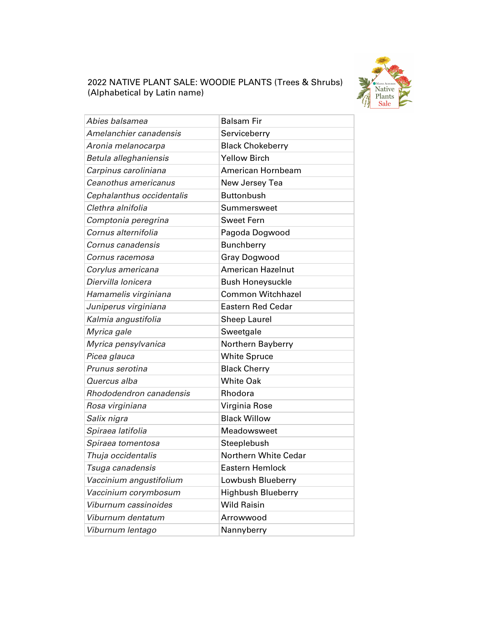

## 2022 NATIVE PLANT SALE: WOODIE PLANTS (Trees & Shrubs) (Alphabetical by Latin name)

| Abies balsamea            | <b>Balsam Fir</b>         |
|---------------------------|---------------------------|
| Amelanchier canadensis    | Serviceberry              |
| Aronia melanocarpa        | <b>Black Chokeberry</b>   |
| Betula alleghaniensis     | <b>Yellow Birch</b>       |
| Carpinus caroliniana      | American Hornbeam         |
| Ceanothus americanus      | New Jersey Tea            |
| Cephalanthus occidentalis | <b>Buttonbush</b>         |
| Clethra alnifolia         | Summersweet               |
| Comptonia peregrina       | <b>Sweet Fern</b>         |
| Cornus alternifolia       | Pagoda Dogwood            |
| Cornus canadensis         | <b>Bunchberry</b>         |
| Cornus racemosa           | Gray Dogwood              |
| Corylus americana         | <b>American Hazelnut</b>  |
| Diervilla Ionicera        | <b>Bush Honeysuckle</b>   |
| Hamamelis virginiana      | <b>Common Witchhazel</b>  |
| Juniperus virginiana      | <b>Eastern Red Cedar</b>  |
| Kalmia angustifolia       | <b>Sheep Laurel</b>       |
|                           |                           |
| Myrica gale               | Sweetgale                 |
| Myrica pensylvanica       | Northern Bayberry         |
| Picea glauca              | <b>White Spruce</b>       |
| Prunus serotina           | <b>Black Cherry</b>       |
| Quercus alba              | <b>White Oak</b>          |
| Rhododendron canadensis   | Rhodora                   |
| Rosa virginiana           | Virginia Rose             |
| Salix nigra               | <b>Black Willow</b>       |
| Spiraea latifolia         | Meadowsweet               |
| Spiraea tomentosa         | Steeplebush               |
| Thuja occidentalis        | Northern White Cedar      |
| Tsuga canadensis          | <b>Eastern Hemlock</b>    |
| Vaccinium angustifolium   | Lowbush Blueberry         |
| Vaccinium corymbosum      | <b>Highbush Blueberry</b> |
| Viburnum cassinoides      | <b>Wild Raisin</b>        |
| Viburnum dentatum         | Arrowwood                 |